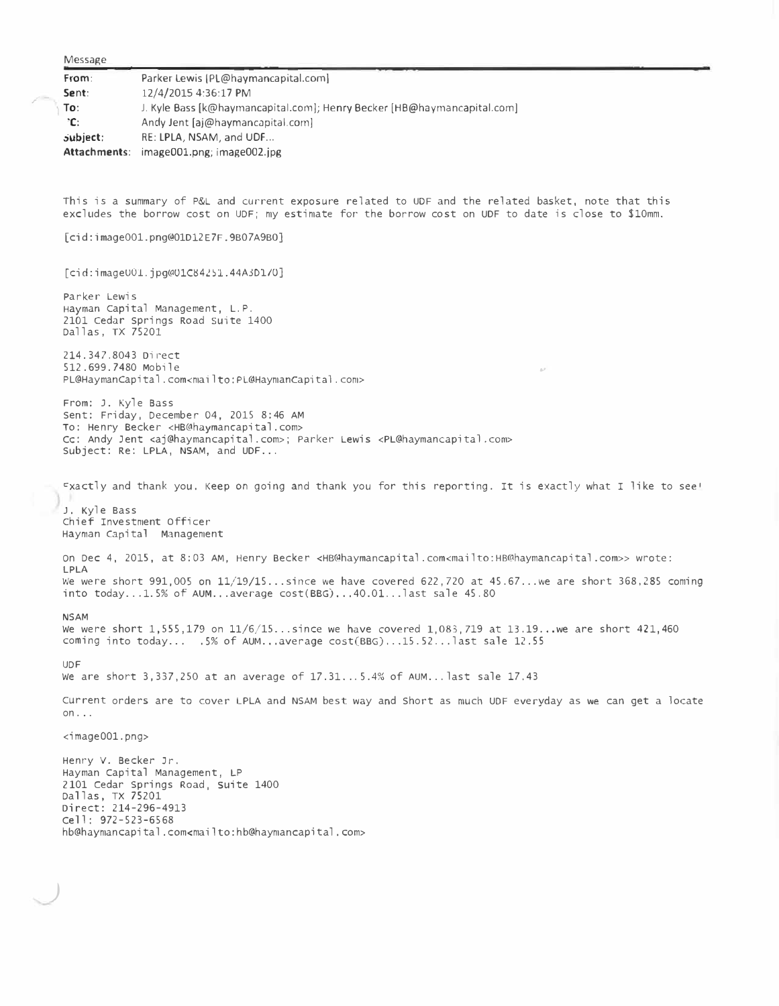Message **From: Sent:**  Parker Lewis ([PL@haymanca](mailto:PL@havmancapital.com)pital.com) 12/4/2015 4:36:17 PM J. Kyle Bass [k@hayrnancapital.com]; Henry Becker [HB@hayrnancapital.com] Andy Jent [aj@haymancapital.com] **1 To: 'C: .;ubject:** RE: **LPLA,** NSAM, and **UDF ... Attachments:** imageOOl.png; image002.jpg This is a summary of P&L and current exposure related to UDF and the related basket, note that this excludes the borrow cost on UDF; my estimate for the borrow cost on UDF to date is close to \$10mm. [cid:image001.png@01D12E7F.9B07A9BO] [cid:imageU01.jpg@U1C84251.44A3D1/0] Parker Lewis Hayman capital Management, L.P. 2101 cedar springs Road suite 1400 Dallas, TX 75201 214.347.8043 Direct 512.699.7480 Mobile PL@HaymanCapital.com<mailto:PL@HaymanCapital .com> From: J. Kyle Bass sent: Friday, December 04, 201S 8:46 **AM** To: Henry Becker <HB@haymancapital.com> cc: Andy Jent <aj@haymancapital.com>; Parker Lewis [<PL@haymancapital.com>](mailto:PL@haymancapital.com) Subject: Re: LPLA, NSAM, and UDF... ., �xactly and thank you. Keep on going and thank you for this reporting. It is exactly what I like to see <sup>1</sup> J. Kyle Bass chief Investment officer Hayman Capital Management on Dec 4, 2015, at 8:03 **AM,** Henry Becker <HB@haymancapital.com<[mailto:HB@haymancapital](mailto:HB%c2%aehaymancapital) .com>> wrote: LPLA We were short 991,005 on 11/19/15 ... since we have covered 622,720 at 45.67 ... we are short 368,285 coming into today... $1.5%$  of AUM...average  $cost(BBG)$ ... $40.01$ ...last sale 45.80 **NSAM**  we were short 1,555,179 on 11/6/15 ... since we have covered 1,083,719 at 13.19 ... we are short 421,460 coming into today ... .5% of AUM ... average cost(BBG) ... 15.52... last sale 12.55 UDF we are short 3,337,250 at an average of 17.31. .. 5.4% of AUM ... last sale 17.43 current orders are to cover LPLA and NSAM best way and short as much UDF everyday as we can get a locate on ... <imageOOl.png> Henry V. Becker Jr. Hayman Capital Management, LP 2101 Cedar Springs Road, suite 1400 Dallas, TX 75201 Direct: 214-296-4913 cell: 972-523-6568 hb@haymancapital.com[<mailto:hb@haymancapital .com>](mailto:hb%c2%aehaymancapital_.com)

**./** 

*)*